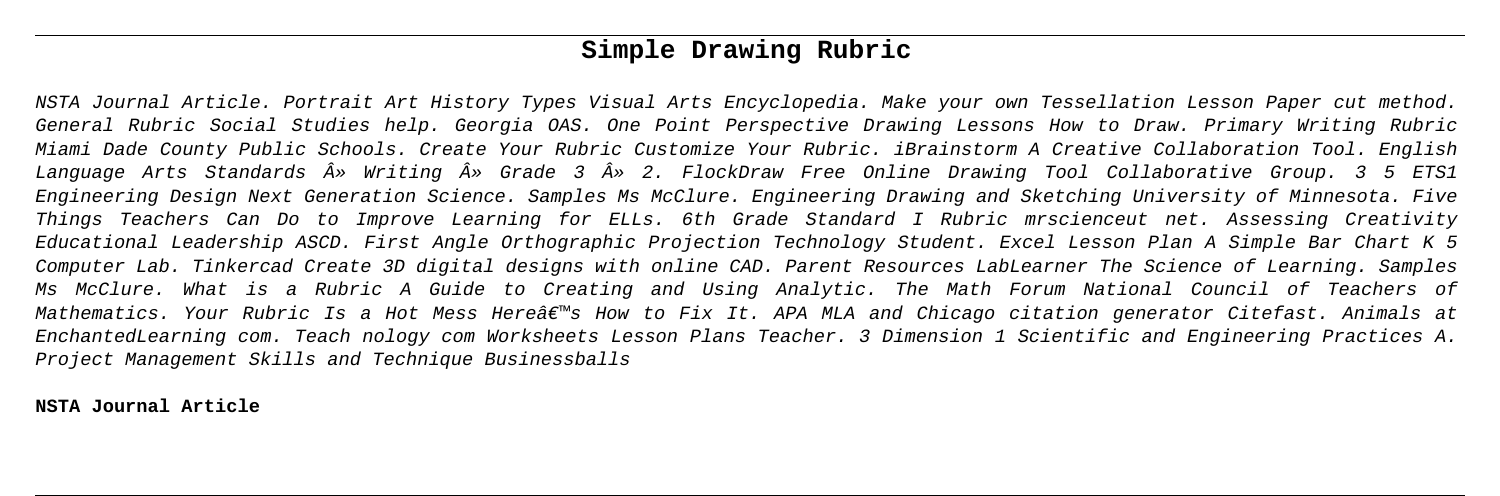# **Simple Drawing Rubric**

NSTA Journal Article. Portrait Art History Types Visual Arts Encyclopedia. Make your own Tessellation Lesson Paper cut method. General Rubric Social Studies help. Georgia OAS. One Point Perspective Drawing Lessons How to Draw. Primary Writing Rubric Miami Dade County Public Schools. Create Your Rubric Customize Your Rubric. iBrainstorm A Creative Collaboration Tool. English Language Arts Standards » Writing » Grade 3 » 2. FlockDraw Free Online Drawing Tool Collaborative Group. 3 5 ETS1 Engineering Design Next Generation Science. Samples Ms McClure. Engineering Drawing and Sketching University of Minnesota. Five Things Teachers Can Do to Improve Learning for ELLs. 6th Grade Standard I Rubric mrscienceut net. Assessing Creativity Educational Leadership ASCD. First Angle Orthographic Projection Technology Student. Excel Lesson Plan A Simple Bar Chart K 5 Computer Lab. Tinkercad Create 3D digital designs with online CAD. Parent Resources LabLearner The Science of Learning. Samples Ms McClure. What is a Rubric A Guide to Creating and Using Analytic. The Math Forum National Council of Teachers of Mathematics. Your Rubric Is a Hot Mess Here's How to Fix It. APA MLA and Chicago citation generator Citefast. Animals at EnchantedLearning com. Teach nology com Worksheets Lesson Plans Teacher. 3 Dimension 1 Scientific and Engineering Practices A. Project Management Skills and Technique Businessballs

**NSTA Journal Article**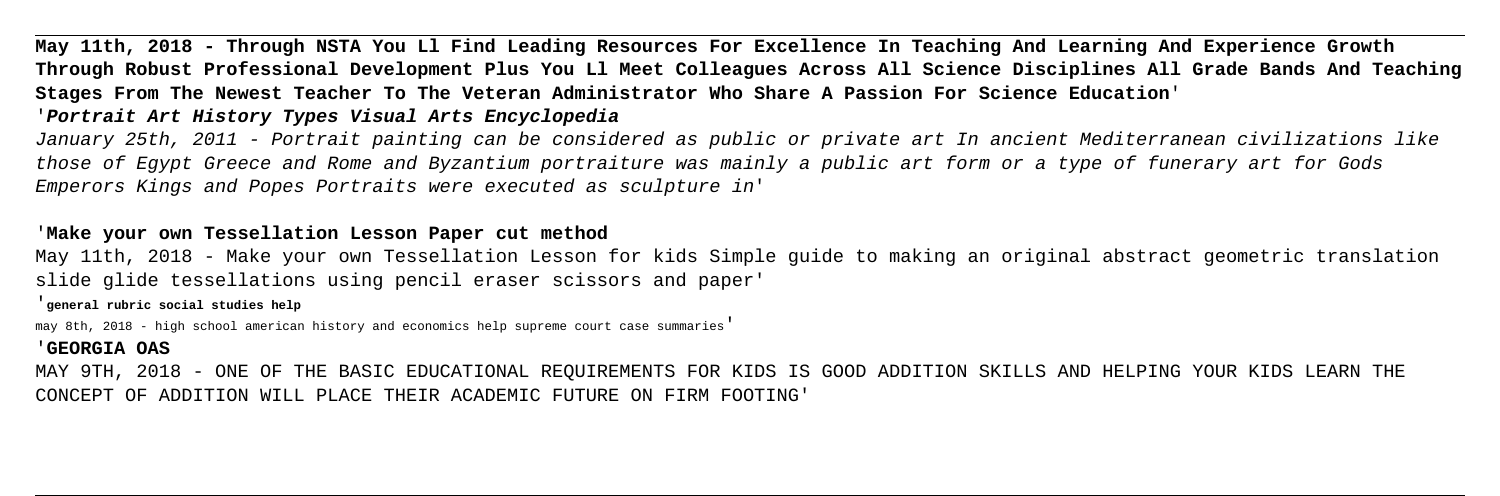**May 11th, 2018 - Through NSTA You Ll Find Leading Resources For Excellence In Teaching And Learning And Experience Growth Through Robust Professional Development Plus You Ll Meet Colleagues Across All Science Disciplines All Grade Bands And Teaching Stages From The Newest Teacher To The Veteran Administrator Who Share A Passion For Science Education**' '**Portrait Art History Types Visual Arts Encyclopedia**

January 25th, 2011 - Portrait painting can be considered as public or private art In ancient Mediterranean civilizations like those of Egypt Greece and Rome and Byzantium portraiture was mainly a public art form or a type of funerary art for Gods Emperors Kings and Popes Portraits were executed as sculpture in'

### '**Make your own Tessellation Lesson Paper cut method**

May 11th, 2018 - Make your own Tessellation Lesson for kids Simple guide to making an original abstract geometric translation slide glide tessellations using pencil eraser scissors and paper'

'**general rubric social studies help**

may 8th, 2018 - high school american history and economics help supreme court case summaries'

### '**GEORGIA OAS**

MAY 9TH, 2018 - ONE OF THE BASIC EDUCATIONAL REQUIREMENTS FOR KIDS IS GOOD ADDITION SKILLS AND HELPING YOUR KIDS LEARN THE CONCEPT OF ADDITION WILL PLACE THEIR ACADEMIC FUTURE ON FIRM FOOTING'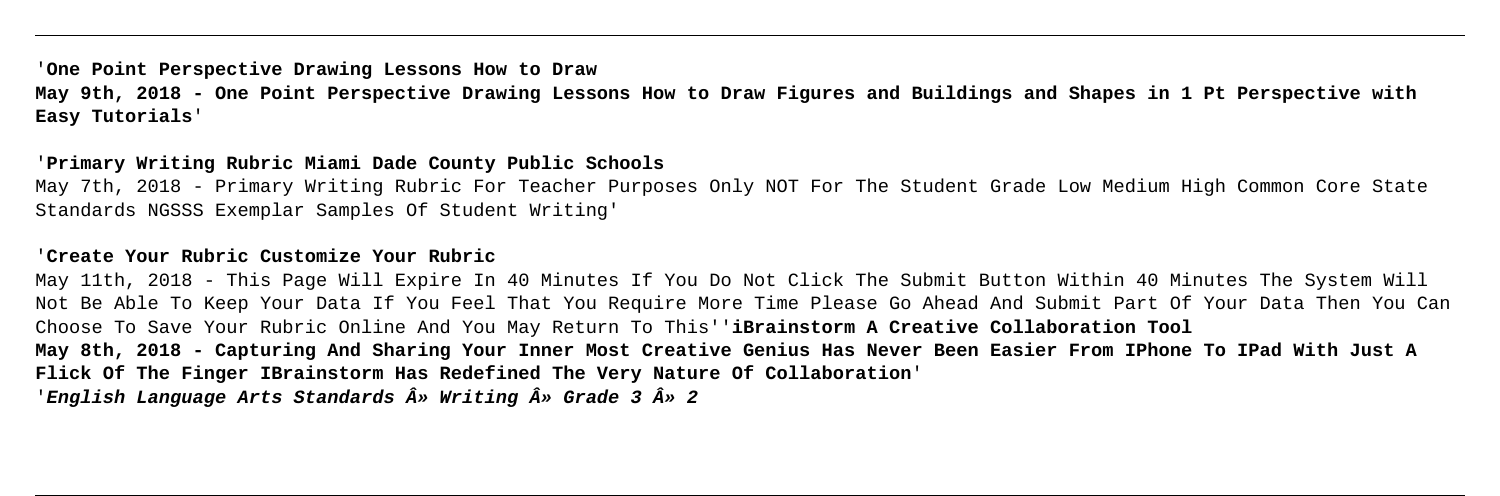## '**One Point Perspective Drawing Lessons How to Draw May 9th, 2018 - One Point Perspective Drawing Lessons How to Draw Figures and Buildings and Shapes in 1 Pt Perspective with Easy Tutorials**'

### '**Primary Writing Rubric Miami Dade County Public Schools**

May 7th, 2018 - Primary Writing Rubric For Teacher Purposes Only NOT For The Student Grade Low Medium High Common Core State Standards NGSSS Exemplar Samples Of Student Writing'

### '**Create Your Rubric Customize Your Rubric**

May 11th, 2018 - This Page Will Expire In 40 Minutes If You Do Not Click The Submit Button Within 40 Minutes The System Will Not Be Able To Keep Your Data If You Feel That You Require More Time Please Go Ahead And Submit Part Of Your Data Then You Can Choose To Save Your Rubric Online And You May Return To This''**iBrainstorm A Creative Collaboration Tool May 8th, 2018 - Capturing And Sharing Your Inner Most Creative Genius Has Never Been Easier From IPhone To IPad With Just A Flick Of The Finger IBrainstorm Has Redefined The Very Nature Of Collaboration**' '**English Language Arts Standards » Writing » Grade 3 » 2**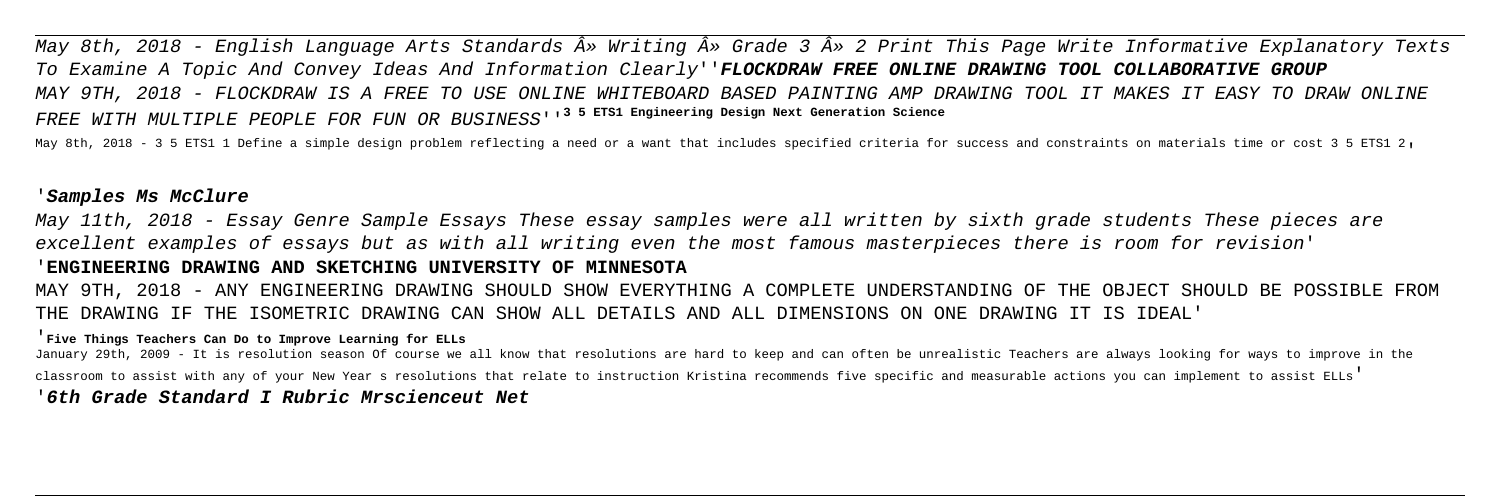May 8th, 2018 - English Language Arts Standards » Writing » Grade 3 » 2 Print This Page Write Informative Explanatory Texts To Examine A Topic And Convey Ideas And Information Clearly''**FLOCKDRAW FREE ONLINE DRAWING TOOL COLLABORATIVE GROUP** MAY 9TH, 2018 - FLOCKDRAW IS A FREE TO USE ONLINE WHITEBOARD BASED PAINTING AMP DRAWING TOOL IT MAKES IT EASY TO DRAW ONLINE FREE WITH MULTIPLE PEOPLE FOR FUN OR BUSINESS''**3 5 ETS1 Engineering Design Next Generation Science**

May 8th, 2018 - 3 5 ETS1 1 Define a simple design problem reflecting a need or a want that includes specified criteria for success and constraints on materials time or cost 3 5 ETS1 2,

### '**Samples Ms McClure**

May 11th, 2018 - Essay Genre Sample Essays These essay samples were all written by sixth grade students These pieces are excellent examples of essays but as with all writing even the most famous masterpieces there is room for revision' '**ENGINEERING DRAWING AND SKETCHING UNIVERSITY OF MINNESOTA**

MAY 9TH, 2018 - ANY ENGINEERING DRAWING SHOULD SHOW EVERYTHING A COMPLETE UNDERSTANDING OF THE OBJECT SHOULD BE POSSIBLE FROM THE DRAWING IF THE ISOMETRIC DRAWING CAN SHOW ALL DETAILS AND ALL DIMENSIONS ON ONE DRAWING IT IS IDEAL'

### '**Five Things Teachers Can Do to Improve Learning for ELLs**

January 29th, 2009 - It is resolution season Of course we all know that resolutions are hard to keep and can often be unrealistic Teachers are always looking for ways to improve in the classroom to assist with any of your New Year s resolutions that relate to instruction Kristina recommends five specific and measurable actions you can implement to assist ELLs'

### '**6th Grade Standard I Rubric Mrscienceut Net**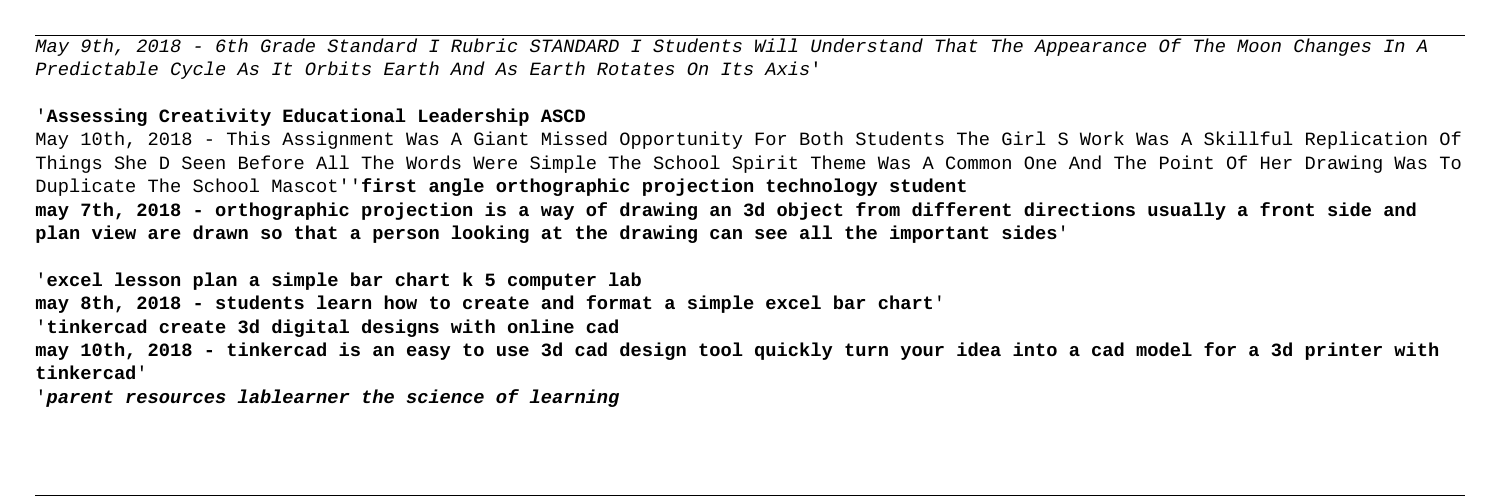May 9th, 2018 - 6th Grade Standard I Rubric STANDARD I Students Will Understand That The Appearance Of The Moon Changes In A Predictable Cycle As It Orbits Earth And As Earth Rotates On Its Axis'

### '**Assessing Creativity Educational Leadership ASCD**

May 10th, 2018 - This Assignment Was A Giant Missed Opportunity For Both Students The Girl S Work Was A Skillful Replication Of Things She D Seen Before All The Words Were Simple The School Spirit Theme Was A Common One And The Point Of Her Drawing Was To Duplicate The School Mascot''**first angle orthographic projection technology student may 7th, 2018 - orthographic projection is a way of drawing an 3d object from different directions usually a front side and plan view are drawn so that a person looking at the drawing can see all the important sides**'

'**excel lesson plan a simple bar chart k 5 computer lab may 8th, 2018 - students learn how to create and format a simple excel bar chart**' '**tinkercad create 3d digital designs with online cad may 10th, 2018 - tinkercad is an easy to use 3d cad design tool quickly turn your idea into a cad model for a 3d printer with tinkercad**'

'**parent resources lablearner the science of learning**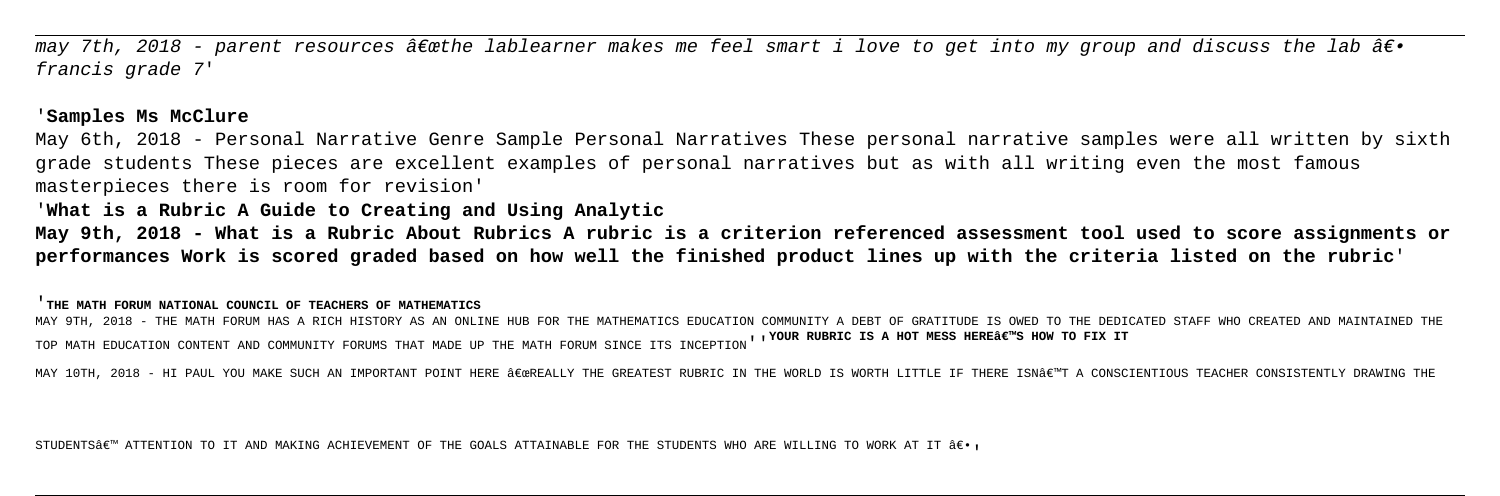may 7th, 2018 - parent resources â $\epsilon$ æthe lablearner makes me feel smart i love to get into my group and discuss the lab â $\epsilon$ . francis grade 7'

### '**Samples Ms McClure**

May 6th, 2018 - Personal Narrative Genre Sample Personal Narratives These personal narrative samples were all written by sixth grade students These pieces are excellent examples of personal narratives but as with all writing even the most famous masterpieces there is room for revision'

MAY 9TH, 2018 - THE MATH FORUM HAS A RICH HISTORY AS AN ONLINE HUB FOR THE MATHEMATICS EDUCATION COMMUNITY A DEBT OF GRATITUDE IS OWED TO THE DEDICATED STAFF WHO CREATED AND MAINTAINED THE TOP MATH EDUCATION CONTENT AND COMMUNITY FORUMS THAT MADE UP THE MATH FORUM SINCE ITS INCEPTION''<sup>YOUR</sup> RUBRIC IS A HOT MESS HERE'S HOW TO FIX IT

MAY 10TH, 2018 - HI PAUL YOU MAKE SUCH AN IMPORTANT POINT HERE "REALLY THE GREATEST RUBRIC IN THE WORLD IS WORTH LITTLE IF THERE ISN€™T A CONSCIENTIOUS TEACHER CONSISTENTLY DRAWING THE

STUDENTS $\hat{\bm{\alpha}}$ em attention to it and making achievement of the GOALS attainable for the students who are willing to work at it  $\hat{\bm{\alpha}}\in\bullet$ .

'**What is a Rubric A Guide to Creating and Using Analytic**

**May 9th, 2018 - What is a Rubric About Rubrics A rubric is a criterion referenced assessment tool used to score assignments or performances Work is scored graded based on how well the finished product lines up with the criteria listed on the rubric**'

'**THE MATH FORUM NATIONAL COUNCIL OF TEACHERS OF MATHEMATICS**